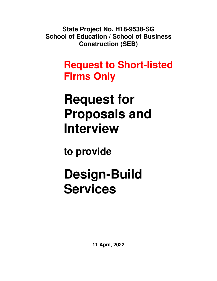**State Project No. H18-9538-SG School of Education / School of Business Construction (SEB)**

## **Request to Short-listed Firms Only**

# **Request for Proposals and Interview**

**to provide** 

# **Design-Build Services**

**11 April, 2022**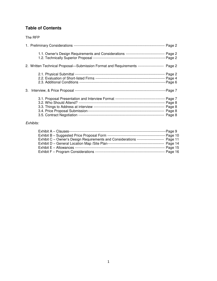### **Table of Contents**

#### The RFP

| 1.1. Owner's Design Requirements and Considerations -------------------------------- Page 2    |  |
|------------------------------------------------------------------------------------------------|--|
| 2. Written Technical Proposal—Submission Format and Requirements ---------------------- Page 2 |  |
|                                                                                                |  |
|                                                                                                |  |
|                                                                                                |  |

#### Exhibits:

| Exhibit A - Clauses--                                                             | ---Page 9   |
|-----------------------------------------------------------------------------------|-------------|
|                                                                                   |             |
| Exhibit C - Owner's Design Requirements and Considerations ---------------------- | Page 11     |
|                                                                                   | --- Page 14 |
|                                                                                   | Page 15     |
|                                                                                   | -- Page 16  |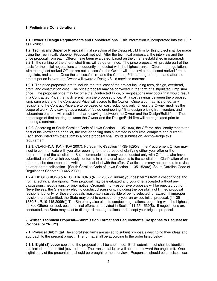#### **1. Preliminary Considerations**

**1.1. Owner's Design Requirements and Considerations.** This information is incorporated into the RFP as Exhibit C.

**1.2. Technically Superior Proposal** Final selection of the Design-Build firm for this project shall be made using the Technically Superior Proposal method. After the technical proposals, the interview and the price proposal from each Offeror have been evaluated, based on the criteria established in paragraph 2.2.1., the ranking of the short-listed firms will be determined. The price proposal will provide part of the basis for the initial negotiations subsequently conducted with the highest ranked Offeror. If negotiations with the highest ranked Offeror are not successful, the Owner will then invite the second ranked firm to negotiate, and so on. Once the successful firm and the Contract Price are agreed upon and after the protest period is over, the Owner will award a Design/Build services contract.

**1.2.1.** The price proposals are to include the total cost of the project including fees, design, overhead, profit, and construction cost. The price proposal may be conveyed in the form of a stipulated lump sum price. The proposal price may become the Contracted Price, or negotiations may occur that would result in a Contracted Price that is different from the proposed price. Any cost savings between the proposed lump sum price and the Contracted Price will accrue to the Owner. Once a contract is signed, any revisions to the Contract Price are to be based on cost reductions only, unless the Owner modifies the scope of work. Any savings as a result of "value engineering," final design pricing from vendors and subcontractors, etc. will result in a shared savings between the Owner and the Design/Build firm. The percentage of that sharing between the Owner and the Design/Build firm will be negotiated prior to entering a contract.

**1.2.2.** According to South Carolina Code of Laws Section 11-35-1830, the Offeror "shall certify that to the best of his knowledge or belief, the cost or pricing data submitted is accurate, complete and current". Each short-listed firm that submits a price proposal shall, by its submission, acknowledge this requirement.

**1.2.3.** CLARIFICATION (NOV 2007): Pursuant to §Section 11-35-1520(8), the Procurement Officer may elect to communicate with you after opening for the purpose of clarifying either your offer or the requirements of the solicitation. Such communications may be conducted only with Offerors who have submitted an offer which obviously conforms in all material aspects to the solicitation. Clarification of an offer must be documented in writing and included with the offer. Clarifications may not be used to revise an offer or the solicitation. [South Carolina Code of Laws Section 11-35-1520(8); South Carolina Code of Regulations Chapter 19-445.2080.]

**1.2.4.** DISCUSSIONS & NEGOTIATIONS (NOV 2007): Submit your best terms from a cost or price and from a technical standpoint. Your proposal may be evaluated and your offer accepted without any discussions, negotiations, or prior notice. Ordinarily, non-responsive proposals will be rejected outright. Nevertheless, the State may elect to conduct discussions, including the possibility of limited proposal revisions, but only for those proposals reasonably susceptible of being selected for award. If improper revisions are submitted, the State may elect to consider only your unrevised initial proposal. [11-35- 1530(6); R.19-445.2095(I)] The State may also elect to conduct negotiations, beginning with the highest ranked Offeror, or seek best and final offers, as provided in Section 11-35-1530(8). If negotiations are conducted, the State may elect to disregard the negotiations and accept your original proposal.

#### **2. Written Technical Proposal—Submission Format and Requirements (Response to Request for Proposal or "RFP")**

**2.1. Physical Submittal** The short-listed firms are asked to submit proposals describing their ideas and approach to the present project. The format shall be according to the order listed below.

**2.1.1. Eight (8) paper** copies of the proposal shall be submitted. Each submittal set shall be identical and include a transmittal (cover) letter. The transmittal letter will not count toward the page limit. One digital copy of the presentation should be brought to the interview. Responses should be concise, clear,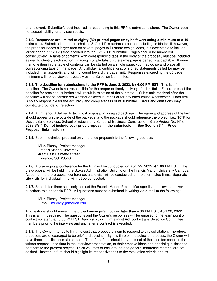and relevant. Submitter's cost incurred in responding to this RFP is submitter's alone. The Owner does not accept liability for any such costs.

**2.1.2. Responses are limited to eighty (80) printed pages (may be fewer) using a minimum of a 10 point font.** Submitted document shall be  $8\frac{1}{2}$ " x 11" in surface area, not including its binder. If, however, the proposer needs a larger area on several pages to illustrate design ideas, it is acceptable to include larger paper (11" x 17") that is folded into the  $8\frac{1}{2}$ " x 11" submittal. Pages should be numbered consecutively. A table of contents, with corresponding tabs in the body of the proposal, must be included as well to identify each section. Placing multiple tabs on the same page is perfectly acceptable. If more than one item in the table of contents can be started on a single page, you may do so and place all corresponding tabs on that page. Any affidavits, certifications, or signed statements called for may be included in an appendix and will not count toward the page limit. Responses exceeding the 80 page minimum will not be viewed favorably by the Selection Committee.

**2.1.3. The deadline for submissions to the RFP is June 2, 2022, by 4:00 PM EST**. This is a firm deadline. The Owner is not responsible for the proper or timely delivery of submittals. Failure to meet the deadline for receipt of submittals will result in rejection of the submittal. Submittals received after the deadline will not be considered whether delayed in transit or for any other cause whatsoever. Each firm is solely responsible for the accuracy and completeness of its submittal. Errors and omissions may constitute grounds for rejection.

**2.1.4.** A firm should deliver its technical proposal in a sealed package. The name and address of the firm should appear on the outside of the package, and the package should reference the project; i.e., "RFP for Design/Build Services, School of Education / School of Business Construction, State Project No. H18-9538-SG." **Do not include your price proposal in the submission. (See Section 3.4 – Price Proposal Submission.)** 

**2.1.5.** Submit technical proposal only (no price proposal) to the following address:

 Mike Richey, Project Manager Francis Marion University 4822 East Palmetto Street Florence, SC 29506

**2.1.6.** A pre-proposal conference for the RFP will be conducted on April 22, 2022 at 1:00 PM EST. The pre-proposal will be held in the Stokes Administration Building on the Francis Marion University Campus. As part of the pre-proposal conference, a site visit will be conducted for the short-listed firms. Separate site visits for individual firms will **not** be conducted.

**2.1.7.** Short-listed firms shall only contact the Francis Marion Project Manager listed below to answer questions related to this RFP. All questions must be submitted in writing via e-mail to the following:

 Mike Richey, Project Manager E-mail: [mrichey@fmarion.edu](mailto:mrichey@fmarion.edu) 

All questions should arrive in the project manager's Inbox no later than 4:00 PM EST, April 26, 2022. This is a firm deadline. The questions and the Owner's responses will be emailed to the team point of contact no later than 5:00 PM EST, April 29, 2022. Firms must **not** contact any Selection Committee members prior to the interview and until after a contract is executed.

**2.1.8.** The Owner intends to limit the cost that proposers incur to respond to this solicitation. Therefore, proposers are encouraged to be brief and succinct. By this time on the selection process, the Owner will have firms' qualifications statements. Therefore, firms should devote most of their allotted space in the written proposal, and time in the interview presentation, to their creative ideas and special qualifications pertinent to the present project. Thick volumes of background and general marketing material are not desired. Instead, a firm should highlight its responsiveness to the evaluation criteria and its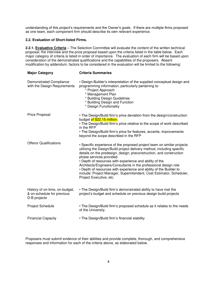understanding of this project's requirements and the Owner's goals. If there are multiple firms proposed as one team, each component firm should describe its own relevant experience.

#### **2.2. Evaluation of Short-listed Firms.**

**2.2.1. Evaluative Criteria** – The Selection Committee will evaluate the content of the written technical proposal, the interview and the price proposal based upon the criteria listed in the table below. Each major category of criteria is listed in order of importance. The evaluation of each firm will be based upon consideration of the demonstrated qualifications and the capabilities of the proposers. Absent modification by addendum, factors to be considered in the evaluation will be limited to the following:

| <b>Major Category</b>                                                        | <b>Criteria Summaries</b>                                                                                                                                                                                                                                                                                                                                                                                                                                                                                                                                   |
|------------------------------------------------------------------------------|-------------------------------------------------------------------------------------------------------------------------------------------------------------------------------------------------------------------------------------------------------------------------------------------------------------------------------------------------------------------------------------------------------------------------------------------------------------------------------------------------------------------------------------------------------------|
| <b>Demonstrated Compliance</b><br>with the Design Requirements               | • Design-Builder's interpretation of the supplied conceptual design and<br>programming information, particularly pertaining to:<br>* Project Approach<br>* Management Plan<br>* Building Design Guidelines<br>* Building Design and Function<br>* Design Functionality                                                                                                                                                                                                                                                                                      |
| Price Proposal                                                               | • The Design/Build firm's price deviation from the design/construction<br>budget of \$22.15 million.<br>• The Design/Build firm's price relative to the scope of work described<br>in the RFP<br>• The Design/Build firm's price for features, accents, improvements<br>beyond the scope described in the RFP                                                                                                                                                                                                                                               |
| <b>Offeror Qualifications</b>                                                | • Specific experience of the proposed project team on similar projects<br>utilizing the Design/Build project delivery method, including specific<br>details on the predesign, design, preconstruction, and construction<br>phase services provided.<br>• Depth of resources with experience and ability of the<br>Architects/Engineers/Consultants in the professional design role<br>• Depth of resources with experience and ability of the Builder to<br>include: Project Manager, Superintendent, Cost Estimator, Scheduler,<br>Project Executive, etc. |
| History of on-time, on-budget,<br>& on-schedule for previous<br>D-B projects | • The Design/Build firm's demonstrated ability to have met the<br>project's budget and schedule on previous design-build projects                                                                                                                                                                                                                                                                                                                                                                                                                           |
| Project Schedule                                                             | • The Design/Build firm's proposed schedule as it relates to the needs<br>of the University.                                                                                                                                                                                                                                                                                                                                                                                                                                                                |
| <b>Financial Capacity</b>                                                    | • The Design/Build firm's financial stability                                                                                                                                                                                                                                                                                                                                                                                                                                                                                                               |

Proposers must submit evidence of their abilities and provide complete, thorough, and comprehensive responses and information for each of the criteria above, as elaborated below.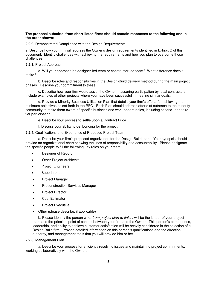#### **The proposal submittal from short-listed firms should contain responses to the following and in the order shown:**

**2.2.2.** Demonstrated Compliance with the Design Requirements

a. Describe how your firm will address the Owner's design requirements identified in Exhibit C of this document. Identify challenges with achieving the requirements and how you plan to overcome those challenges.

#### **2.2.3.** Project Approach

a. Will your approach be designer-led team or constructor-led team? What difference does it make?

 b. Describe roles and responsibilities in the Design-Build delivery method during the main project phases. Describe your commitment to these.

 c. Describe how your firm would assist the Owner in assuring participation by local contractors. Include examples of other projects where you have been successful in meeting similar goals.

d. Provide a Minority Business Utilization Plan that details your firm's efforts for achieving the minimum objectives as set forth in the RFQ. Each Plan should address efforts at outreach to the minority community to make them aware of specific business and work opportunities, including second- and thirdtier participation.

e. Describe your process to settle upon a Contract Price.

f. Discuss your ability to get bonding for the project.

**2.2.4.** Qualifications and Experience of Proposed Project Team**.**

a. Describe your firm's proposed organization for the Design-Build team. Your synopsis should provide an organizational chart showing the lines of responsibility and accountability. Please designate the specific people to fill the following key roles on your team:

- Designer of Record
- Other Project Architects
- Project Engineers
- Superintendent
- Project Manager
- **•** Preconstruction Services Manager
- Project Director
- Cost Estimator
- Project Executive
- Other (please describe, if applicable)

b. Please identify the person who, from project start to finish, will be the leader of your project team and the principal point of contact between your firm and the Owner. This person's competence, leadership, and ability to achieve customer satisfaction will be heavily considered in the selection of a Design-Build firm. Provide detailed information on this person's qualifications and the direction, authority, and management tools that you will provide him or her.

**2.2.5.** Management Plan

 a. Describe your process for efficiently resolving issues and maintaining project commitments, working collaboratively with the Owners.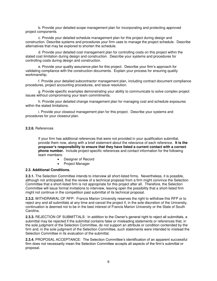b. Provide your detailed scope management plan for incorporating and protecting approved project components.

 c. Provide your detailed schedule management plan for this project during design and construction. Describe systems and procedures your firm uses to manage the project schedule. Describe alternatives that may be explored to shorten the schedule.

 d. Provide your detailed cost management plan for controlling costs on this project within the stated cost limitation during design and construction. Describe your systems and procedures for controlling costs during design and construction.

e. Provide your quality assurance plan for this project. Describe your firm's approach for validating compliance with the construction documents. Explain your process for ensuring quality workmanship.

 f. Provide your detailed subcontractor management plan, including contract document compliance procedures, project accounting procedures, and issue resolution.

 g. Provide specific examples demonstrating your ability to communicate to solve complex project issues without compromising your team commitments.

 h. Provide your detailed change management plan for managing cost and schedule exposures within the stated limitations.

 i. Provide your closeout management plan for this project. Describe your systems and procedures for your closeout plan.

#### **2.2.6.** References

 If your firm has additional references that were not provided in your qualification submittal, provide them now, along with a brief statement about the relevance of each reference. **It is the proposer's responsibility to ensure that they have listed a current contact with a correct phone number.** Include project-specific references and contact information for the following team members:

- Designer of Record
- Project Manager

#### **2.3. Additional Conditions.**

**2.3.1.** The Selection Committee intends to interview all short-listed firms. Nevertheless, it is possible, although not anticipated, that the review of a technical proposal from a firm might convince the Selection Committee that a short-listed firm is not appropriate for this project after all. Therefore, the Selection Committee will issue formal invitations to interview, leaving open the possibility that a short-listed firm might not continue in the competition past submittal of its technical proposal.

**2.3.2.** WITHDRAWAL OF RFP: Francis Marion University reserves the right to withdraw this RFP or to reject any and all submittals at any time and cancel the project if, in the sole discretion of the University, continuation is deemed not to be in the best interest of Francis Marion University or the State of South Carolina.

**2.3.3.** REJECTION OF SUBMITTALS: In addition to the Owner's general right to reject all submittals, a submittal may be rejected if the submittal contains false or misleading statements or references that, in the sole judgment of the Selection Committee, do not support an attribute or condition contended by the firm and, in the sole judgment of the Selection Committee, such statements were intended to mislead the Selection Committee in its evaluation of the submittal.

**2.3.4.** PROPOSAL ACCEPTANCE: The Selection Committee's identification of an apparent successful firm does not necessarily mean the Selection Committee accepts all aspects of the firm's submittal or proposal.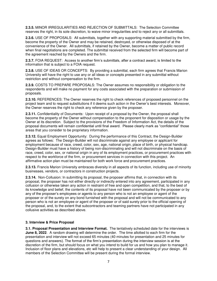**2.3.5.** MINOR IRREGULARITIES AND REJECTION OF SUBMITTALS: The Selection Committee reserves the right, in its sole discretion, to waive minor irregularities and to reject any or all submittals.

**2.3.6.** USE OF PROPOSALS: All submittals, together with any supporting material submitted by the firm, become the property of the Owner and may be retained, destroyed, or otherwise disposed of at the convenience of the Owner. All submittals, if retained by the Owner, become a matter of public record when final negotiations are completed. The submittal received from the selected firm will become part of the agreement reached by the Owners and the firm.

**2.3.7.** FOIA REQUEST: Access to another firm's submittals, after a contract award, is limited to the information that is subject to a FOIA request.

**2.3.8.** USE OF IDEAS OR CONCEPTS: By providing a submittal, each firm agrees that Francis Marion University will have the right to use any or all ideas or concepts presented in any submittal without restriction and without compensation to the firm.

**2.3.9.** COSTS TO PREPARE PROPOSALS: The Owner assumes no responsibility or obligation to the respondents and will make no payment for any costs associated with the preparation or submission of proposals.

**2.3.10.** REFERENCES: The Owner reserves the right to check references of proposed personnel on the project team and to request substitutions if it deems such action in the Owner's best interests. Moreover, the Owner reserves the right to check any reference given by the proposer.

**2.3.11.** Confidentiality of Documents: Upon receipt of a proposal by the Owner, the proposal shall become the property of the Owner without compensation to the proponent for disposition or usage by the Owner at its discretion. Subject to the provisions of the Freedom of Information Act, the details of the proposal documents will remain confidential until final award. Please clearly mark as "confidential" those areas that you consider to be proprietary information.

**2.3.12.** Equal Employment Opportunity: During the performance of this Contract, the Design-Builder agrees as follows: The Design-Builder will not discriminate against any employee or applicant for employment because of race, creed, color, sex, age, national origin, place of birth, or physical handicap. Design-Builder must have a history of being non-discriminating and will not discriminate on the basis of race, creed, color, sex, or national origin in any of its employment practices, or procurement practices with respect to the workforce of the firm, or procurement services in connection with this project. An affirmative action plan must be maintained for both work force and procurement practices.

**2.3.13.** Francis Marion University embraces diversity in all aspects of its function, including use of minority businesses, vendors, or contractors in construction projects.

**2.3.14.** Non-Collusion: In submitting its proposal, the proposer affirms that, in connection with its proposal, the proposer has not either directly or indirectly entered into any agreement, participated in any collusion or otherwise taken any action in restraint of free and open competition, and that, to the best of its knowledge and belief, the contents of its proposal have not been communicated by the proposer or by any of the proposer's employees or agents to any person who is not an employee or agent of the proposer or of the surety on any bond furnished with the proposal and will not be communicated to any person who is not an employee or agent of the proposer or of said surety prior to the official opening of the proposal, and, to the extent that subcontractors and teaming partners have not participated in any collusive activities as described above.

#### **3. Interview & Price Proposal**

**3.1. Proposal Presentation and Interview Format.** The tentatively scheduled date for the interviews is **June 8, 2022**.A random drawing will determine the order.The time allotted to each firm for the presentation and interview will not exceed 65 minutes (40 minutes for presentation and 25 minutes for questions and answers). The format of the firm's presentation during the interview session is at the discretion of the firm, but should focus on what you intend to build for us and how you plan to manage it. Inclusion of floor plans and elevations, etc will help to present a clear understanding of your design. All members of the Selection Committee will be present during the formal interview.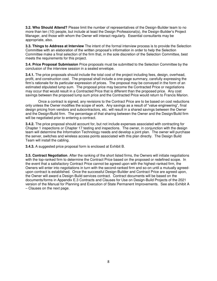**3.2. Who Should Attend?** Please limit the number of representatives of the Design-Builder team to no more than ten (10) people, but include at least the Design Professional(s), the Design-Builder's Project Manager, and those with whom the Owner will interact regularly. Essential consultants may be appropriate, also.

**3.3. Things to Address at Interview** The intent of the formal interview process is to provide the Selection Committee with an elaboration of the written proposal's information in order to help the Selection Committee make a final selection of the firm that, in the sole discretion of the Selection Committee, best meets the requirements for this project.

**3.4. Price Proposal Submission** Price proposals must be submitted to the Selection Committee by the conclusion of the interview session in a sealed envelope.

**3.4.1.** The price proposals should include the total cost of the project including fees, design, overhead, profit, and construction cost. The proposal shall include a one-page summary, carefully expressing the firm's rationale for its particular expression of prices. The proposal may be conveyed in the form of an estimated stipulated lump sum. The proposal price may become the Contracted Price or negotiations may occur that would result in a Contracted Price that is different than the proposed price. Any cost savings between the proposed lump sum price and the Contracted Price would return to Francis Marion.

 Once a contract is signed, any revisions to the Contract Price are to be based on cost reductions only unless the Owner modifies the scope of work. Any savings as a result of "value engineering", final design pricing from vendors and subcontractors, etc. will result in a shared savings between the Owner and the Design/Build firm. The percentage of that sharing between the Owner and the Design/Build firm will be negotiated prior to entering a contract.

**3.4.2.** The price proposal should account for, but not include expenses associated with contracting for Chapter 1 inspections or Chapter 17 testing and inspections. The owner, in conjunction with the design team will determine the Information Technology needs and develop a joint plan. The owner will purchase the server, switches and wireless access points associated with this plan directly. The Design Build Team will install the cabling.

**3.4.3.** A suggested price proposal form is enclosed at Exhibit B.

**3.5. Contract Negotiation**. After the ranking of the short listed firms, the Owners will initiate negotiations with the top-ranked firm to determine the Contract Price based on the proposed or redefined scope. In the event that a satisfactory Contract Price cannot be agreed upon with the highest-ranked firm, the Owners will enter into negotiations in turn with the second-ranked firm and so-on until a mutually agreedupon contract is established. Once the successful Design-Builder and Contract Price are agreed upon, the Owner will award a Design-Build services contract. Contract documents will be based on the documents/forms in Appendix E.3 Contracts and Clauses for Use on Design-Build Projects of the 2021 version of the Manual for Planning and Execution of State Permanent Improvements. See also Exhibit A – Clauses on the next page.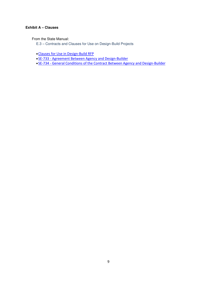#### **Exhibit A – Clauses**

From the State Manual:

E.3 – Contracts and Clauses for Use on Design-Build Projects

- [Clauses for Use in Design-Build RFP](https://procurement.sc.gov/files/ose/Clauses%20for%20Use%20In%20Design-Build%20RFP.pdf)
- [SE-733 Agreement Between Agency and Design-Builder](https://procurement.sc.gov/files/ose/SE-733%20-%20Agreement%20Between%20Agency%20and%20Design-Builder_0.docx)
- [SE-734 General Conditions of the Contract Between Agency and Design-Builder](https://procurement.sc.gov/files/ose/SE-734%20-%20General%20Conditions%20of%20the%20Contract%20Between%20Agency%20and%20Design-Builder_1.docx)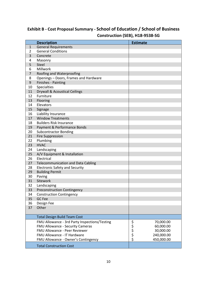### **Exhibit B - Cost Proposal Summary - School of Education / School of Business Construction (SEB), H18-9538-SG**

|                | <b>Description</b>                            | <b>Estimate</b>    |
|----------------|-----------------------------------------------|--------------------|
| $\mathbf{1}$   | <b>General Requirements</b>                   |                    |
| 2              | <b>General Conditions</b>                     |                    |
| 3              | Concrete                                      |                    |
| 4              | Masonry                                       |                    |
| 5              | <b>Steel</b>                                  |                    |
| 6              | Millwork                                      |                    |
| $\overline{7}$ | Roofing and Waterproofing                     |                    |
| 8              | Openings - Doors, Frames and Hardware         |                    |
| 9              | Finishes - Painting                           |                    |
| 10             | Specialties                                   |                    |
| 11             | <b>Drywall &amp; Acoustical Ceilings</b>      |                    |
| 12             | Furniture                                     |                    |
| 13             | Flooring                                      |                    |
| 14             | Elevators                                     |                    |
| 15             | Signage                                       |                    |
| 16             | Liability Insurance                           |                    |
| 17             | <b>Window Treatments</b>                      |                    |
| 18             | <b>Builders Risk Insurance</b>                |                    |
| 19             | Payment & Performance Bonds                   |                    |
| 20             | <b>Subcontractor Bonding</b>                  |                    |
| 21             | <b>Fire Suppression</b>                       |                    |
| 22             | Plumbing                                      |                    |
| 23             | <b>HVAC</b>                                   |                    |
| 24             | Landscaping                                   |                    |
| 25             | A/V Equipment & Installation                  |                    |
| 26             | Electrical                                    |                    |
| 27             | <b>Telecommunication and Data Cabling</b>     |                    |
| 28             | <b>Electronic Safety and Security</b>         |                    |
| 29             | <b>Building Permit</b>                        |                    |
| 30             | Paving                                        |                    |
| 31             | Sitework                                      |                    |
| 32             | Landscaping                                   |                    |
| 33             | <b>Preconstruction Contingency</b>            |                    |
| 34             | <b>Construction Contingency</b>               |                    |
| 35             | GC Fee                                        |                    |
| 36             | Design Fee                                    |                    |
| 37             | Other                                         |                    |
|                |                                               |                    |
|                | <b>Total Design Build Team Cost</b>           |                    |
|                | FMU Allowance - 3rd Party Inspections/Testing | ややややく<br>70,000.00 |
|                | FMU Allowance - Security Cameras              | 60,000.00          |
|                | FMU Allowance - Peer Reviewer                 | 30,000.00          |
|                | <b>FMU Allowance - IT Hardware</b>            | 240,000.00         |
|                | FMU Allowance - Owner's Contingency           | 450,000.00         |
|                | <b>Total Construction Cost</b>                |                    |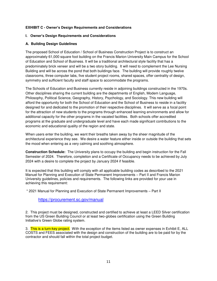#### **EXHIBIT C - Owner's Design Requirements and Considerations**

#### **I. Owner's Design Requirements and Considerations**

#### **A. Building Design Guidelines**

The proposed School of Education / School of Business Construction Project is to construct an approximately 61,000 square foot building on the Francis Marion University Main Campus for the School of Education and School of Business. It will be a traditional architectural style facility that has a predominately brick veneer and will be a two story building. It will need to complement the Lee Nursing Building and will be across the pond that both buildings face. The building will provide roughly twelve classrooms, three computer labs, five student project rooms, shared spaces, offer centrality of design, symmetry and sufficient faculty and staff space to accommodate the programs.

The Schools of Education and Business currently reside in adjoining buildings constructed in the 1970s. Other disciplines sharing the current building are the departments of English, Modem Language, Philosophy, Political Science, Geography, History, Psychology, and Sociology. This new building will afford the opportunity for both the School of Education and the School of Business to reside in a facility designed for and dedicated to the promotion of their respective disciplines. It will serve as a focal point for the attraction of new students to the programs through enhanced learning environments and allow for additional capacity for the other programs in the vacated facilities. Both schools offer accredited programs at the graduate and undergraduate level and have each made significant contributions to the economic and educational quality of the region and state.

When users enter the building, we want their breaths taken away by the sheer magnitude of the architectural experience they see. We desire a water feature either inside or outside the building that sets the mood when entering as a very calming and soothing atmosphere.

**Construction Schedule:** The University plans to occupy the building and begin instruction for the Fall Semester of 2024. Therefore, completion and a Certificate of Occupancy needs to be achieved by July 2024 with a desire to complete the project by January 2024 if feasible.

It is expected that this building will comply with all applicable building codes as described to the 2021 Manuel for Planning and Execution of State Permanent Improvements – Part II and Francis Marion University guidelines, policies and requirements. The following links are provided for your use in achieving this requirement:

\* 2021 Manual for Planning and Execution of State Permanent Improvements – Part II

#### <https://procurement.sc.gov/manual>

2. This project must be designed, constructed and certified to achieve at least a LEED Silver certification from the US Green Building Council or at least two-globes certification using the Green Building Initiative's Green Globe rating system.

3. This is a turn-key project. With the exception of the items listed as owner expenses in Exhibit E, ALL COSTS and FEES associated with the design and construction of the building are to be paid for by the contractor and should fall within the total project budget.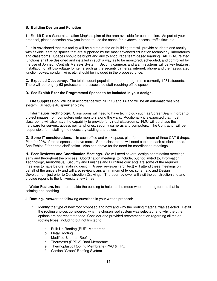#### **B. Building Design and Function**

1. Exhibit D is a General Location Map/site plan of the area available for construction. As part of your proposal, please describe how you intend to use the space for laydown, access, traffic flow, etc.

2. It is envisioned that this facility will be a state of the art building that will provide students and faculty with flexible learning spaces that are supported by the most advanced education technology, laboratories and classrooms. Spaces should be bright and airy to encourage team-based learning. All HVAC related functions shall be designed and installed in such a way as to be monitored, scheduled, and controlled by the use of Johnson Controls Metasys System. Security cameras and alarm systems will be key features. Installation of all low-voltage for items such as the security cameras, internet, phone and their associated junction boxes, conduit, wire, etc. should be included in the proposed price.

**C. Expected Occupancy.** The total student population for both programs is currently 1031 students. There will be roughly 63 professors and associated staff requiring office space.

#### **D. See Exhibit F for the Programmed Spaces to be included in your design.**

**E. Fire Suppression.** Will be in accordance with NFP 13 and 14 and will be an automatic wet pipe system. Schedule 40 sprinkler piping.

**F. Information Technology.** Classrooms will need to have technology such as ScreenBeam in order to project images from computers onto monitors along the walls. Additionally it is expected that most classrooms will also have the capability to provide for virtual classrooms. FMU will purchase the hardware for servers, access points, phones, security cameras and computers. The Contractor will be responsible for installing the necessary cabling and power.

**G. Some IT considerations.** In each office and work space, plan for a minimum of three CAT 6 drops. Plan for 20% of those spaces to have more. Some classrooms will need cable to each student space. See Exhibit F for some clarification. Also see above for the need for coordination meetings.

**H. Peer Reviewer and Coordination Meetings.** We will need several design coordination meetings early and throughout the process. Coordination meetings to include, but not limited to, Information Technology, Audio/Visual, Security and Finishes and Furniture concepts are some of the required meetings to have before finalizing design. A peer reviewer (architect) will attend these meetings on behalf of the university and will also review plans a minimum of twice, schematic and Design Development just prior to Construction Drawings. The peer reviewer will visit the construction site and provide reports to the University a few times.

**I. Water Feature.** Inside or outside the building to help set the mood when entering for one that is calming and soothing.

**J. Roofing.** Answer the following questions in your written proposal:

- 1. Identify the type of new roof proposed and how and why the roofing material was selected. Detail the roofing choices considered, why the chosen roof system was selected, and why the other options are not recommended. Consider and provided recommendation regarding all major roofing types, including but not limited to:
	- a. Built-Up Roofing (BUR) Membrane
	- b. Metal Roofing
	- c. Modified Bitumen Roofing
	- d. Thermoset (EPDM) Roof Membrane
	- e. Thermoplastic Roofing Membrane (PVC & TPO)
	- f. Garden "Green" Roofing System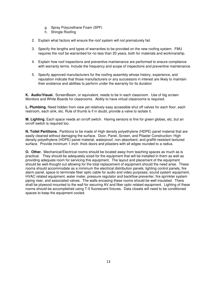- g. Spray Polyurethane Foam (SPF)
- h. Shingle Roofing
- 2. Explain what factors will ensure the roof system will not prematurely fail.
- 3. Specify the lengths and types of warranties to be provided on the new roofing system. FMU requires the roof be warrantied for no less than 20 years, both for materials and workmanship.
- 4. Explain how roof inspections and preventive maintenance are performed to ensure compliance with warranty terms. Include the frequency and scope of inspections and preventive maintenance.
- 5. Specify approved manufacturers for the roofing assembly whose history, experience, and reputation indicate that those manufacturers or any successors in interest are likely to maintain their existence and abilities to perform under the warranty for its duration

**K. Audio/Visual.** ScreenBeam, or equivalent, needs to be in each classroom. Use of big screen Monitors and White Boards for classrooms. Ability to have virtual classrooms is required.

**L. Plumbing.** Need hidden from view yet relatively easy accessible shut off valves for each floor, each restroom, each sink, etc. Rule of thumb is if in doubt, provide a valve to isolate it.

**M. Lighting.** Each space needs an on/off switch. Having sensors is fine for green globes, etc, but an on/off switch is required too.

**N. Toilet Partitions.** Partitions to be made of High density polyethylene (HDPE) panel material that are easily cleaned without damaging the surface. Door, Panel, Screen, and Pilaster Construction: High density polyethylene (HDPE) panel material, waterproof, non-absorbent, and graffiti-resistant textured surface. Provide minimum 1-inch- thick doors and pilasters with all edges rounded to a radius.

**O. Other.** Mechanical/Electrical rooms should be located away from teaching spaces as much as is practical. They should be adequately sized for the equipment that will be installed in them as well as providing adequate room for servicing this equipment. The layout and placement of the equipment should be well-thought out allowing for the total replacement of equipment should the need arise. These rooms should accommodate as a minimum the electrical distribution panels, lighting control panels, fire alarm panel, space to terminate fiber optic cable for audio and video purposes, sound system equipment, HVAC related equipment, water meter, pressure regulator and backflow preventer, fire sprinkler system piping riser, and associated valves. The walls encasing these rooms should be well insulated. There shall be plywood mounted to the wall for securing AV and fiber optic related equipment. Lighting of these rooms should be accomplished using T-5 fluorescent fixtures. Data closets will need to be conditioned spaces to keep the equipment cooled.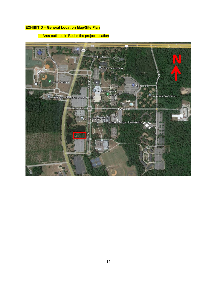#### **EXHIBIT D – General Location Map/Site Plan**

\* Area outlined in Red is the project location

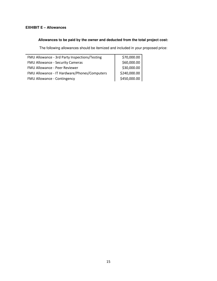#### **EXHIBIT E – Allowances**

#### **Allowances to be paid by the owner and deducted from the total project cost:**

The following allowances should be itemized and included in your proposed price:

| FMU Allowance - 3rd Party Inspections/Testing | \$70,000.00  |
|-----------------------------------------------|--------------|
| FMU Allowance - Security Cameras              | \$60,000.00  |
| FMU Allowance - Peer Reviewer                 | \$30,000.00  |
| FMU Allowance - IT Hardware/Phones/Computers  | \$240,000.00 |
| FMU Allowance - Contingency                   | \$450,000.00 |